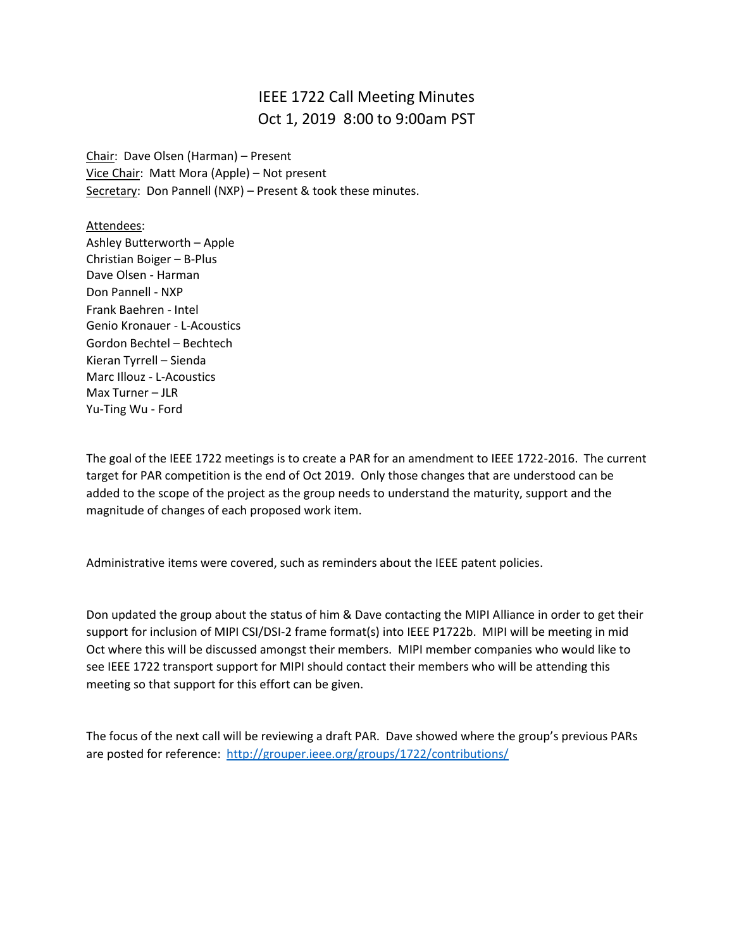## IEEE 1722 Call Meeting Minutes Oct 1, 2019 8:00 to 9:00am PST

Chair: Dave Olsen (Harman) – Present Vice Chair: Matt Mora (Apple) – Not present Secretary: Don Pannell (NXP) - Present & took these minutes.

Attendees: Ashley Butterworth – Apple Christian Boiger – B-Plus Dave Olsen - Harman Don Pannell - NXP Frank Baehren - Intel Genio Kronauer - L-Acoustics Gordon Bechtel – Bechtech Kieran Tyrrell – Sienda Marc Illouz - L-Acoustics Max Turner – JLR Yu-Ting Wu - Ford

The goal of the IEEE 1722 meetings is to create a PAR for an amendment to IEEE 1722-2016. The current target for PAR competition is the end of Oct 2019. Only those changes that are understood can be added to the scope of the project as the group needs to understand the maturity, support and the magnitude of changes of each proposed work item.

Administrative items were covered, such as reminders about the IEEE patent policies.

Don updated the group about the status of him & Dave contacting the MIPI Alliance in order to get their support for inclusion of MIPI CSI/DSI-2 frame format(s) into IEEE P1722b. MIPI will be meeting in mid Oct where this will be discussed amongst their members. MIPI member companies who would like to see IEEE 1722 transport support for MIPI should contact their members who will be attending this meeting so that support for this effort can be given.

The focus of the next call will be reviewing a draft PAR. Dave showed where the group's previous PARs are posted for reference: <http://grouper.ieee.org/groups/1722/contributions/>